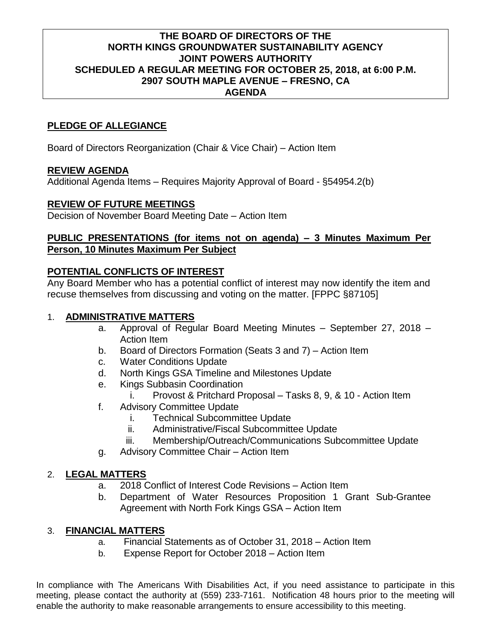## **THE BOARD OF DIRECTORS OF THE NORTH KINGS GROUNDWATER SUSTAINABILITY AGENCY JOINT POWERS AUTHORITY SCHEDULED A REGULAR MEETING FOR OCTOBER 25, 2018, at 6:00 P.M. 2907 SOUTH MAPLE AVENUE – FRESNO, CA AGENDA**

# **PLEDGE OF ALLEGIANCE**

Board of Directors Reorganization (Chair & Vice Chair) – Action Item

#### **REVIEW AGENDA**

Additional Agenda Items – Requires Majority Approval of Board - §54954.2(b)

#### **REVIEW OF FUTURE MEETINGS**

Decision of November Board Meeting Date – Action Item

## **PUBLIC PRESENTATIONS (for items not on agenda) – 3 Minutes Maximum Per Person, 10 Minutes Maximum Per Subject**

## **POTENTIAL CONFLICTS OF INTEREST**

Any Board Member who has a potential conflict of interest may now identify the item and recuse themselves from discussing and voting on the matter. [FPPC §87105]

# 1. **ADMINISTRATIVE MATTERS**

- a. Approval of Regular Board Meeting Minutes September 27, 2018 Action Item
- b. Board of Directors Formation (Seats 3 and 7) Action Item
- c. Water Conditions Update
- d. North Kings GSA Timeline and Milestones Update
- e. Kings Subbasin Coordination
	- i. Provost & Pritchard Proposal Tasks 8, 9, & 10 Action Item
- f. Advisory Committee Update
	- i. Technical Subcommittee Update
	- ii. Administrative/Fiscal Subcommittee Update
	- iii. Membership/Outreach/Communications Subcommittee Update
- g. Advisory Committee Chair Action Item

## 2. **LEGAL MATTERS**

- a. 2018 Conflict of Interest Code Revisions Action Item
- b. Department of Water Resources Proposition 1 Grant Sub-Grantee Agreement with North Fork Kings GSA – Action Item

## 3. **FINANCIAL MATTERS**

- a. Financial Statements as of October 31, 2018 Action Item
- b. Expense Report for October 2018 Action Item

In compliance with The Americans With Disabilities Act, if you need assistance to participate in this meeting, please contact the authority at (559) 233-7161. Notification 48 hours prior to the meeting will enable the authority to make reasonable arrangements to ensure accessibility to this meeting.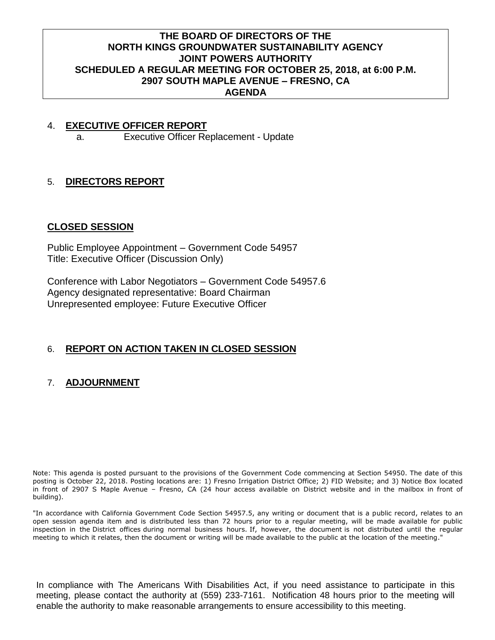## **THE BOARD OF DIRECTORS OF THE NORTH KINGS GROUNDWATER SUSTAINABILITY AGENCY JOINT POWERS AUTHORITY SCHEDULED A REGULAR MEETING FOR OCTOBER 25, 2018, at 6:00 P.M. 2907 SOUTH MAPLE AVENUE – FRESNO, CA AGENDA**

# 4. **EXECUTIVE OFFICER REPORT**

a. Executive Officer Replacement - Update

## 5. **DIRECTORS REPORT**

#### **CLOSED SESSION**

Public Employee Appointment – Government Code 54957 Title: Executive Officer (Discussion Only)

Conference with Labor Negotiators – Government Code 54957.6 Agency designated representative: Board Chairman Unrepresented employee: Future Executive Officer

## 6. **REPORT ON ACTION TAKEN IN CLOSED SESSION**

# 7. **ADJOURNMENT**

Note: This agenda is posted pursuant to the provisions of the Government Code commencing at Section 54950. The date of this posting is October 22, 2018. Posting locations are: 1) Fresno Irrigation District Office; 2) FID Website; and 3) Notice Box located in front of 2907 S Maple Avenue – Fresno, CA (24 hour access available on District website and in the mailbox in front of building).

"In accordance with California Government Code Section 54957.5, any writing or document that is a public record, relates to an open session agenda item and is distributed less than 72 hours prior to a regular meeting, will be made available for public inspection in the District offices during normal business hours. If, however, the document is not distributed until the regular meeting to which it relates, then the document or writing will be made available to the public at the location of the meeting."

In compliance with The Americans With Disabilities Act, if you need assistance to participate in this meeting, please contact the authority at (559) 233-7161. Notification 48 hours prior to the meeting will enable the authority to make reasonable arrangements to ensure accessibility to this meeting.